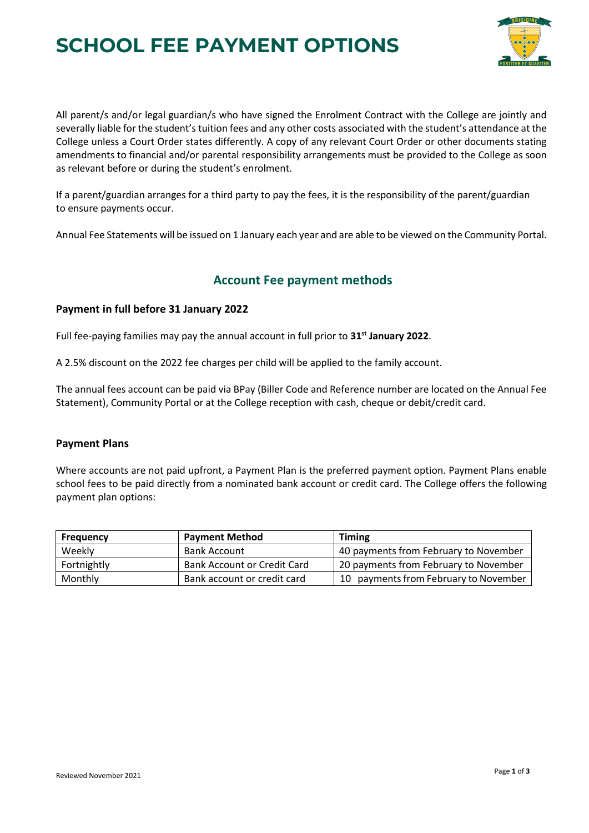# **SCHOOL FEE PAYMENT OPTIONS**



All parent/s and/or legal guardian/s who have signed the Enrolment Contract with the College are jointly and severally liable for the student's tuition fees and any other costs associated with the student's attendance at the College unless a Court Order states differently. A copy of any relevant Court Order or other documents stating amendments to financial and/or parental responsibility arrangements must be provided to the College as soon as relevant before or during the student's enrolment.

If a parent/guardian arranges for a third party to pay the fees, it is the responsibility of the parent/guardian to ensure payments occur.

Annual Fee Statements will be issued on 1 January each year and are able to be viewed on the Community Portal.

# **Account Fee payment methods**

# **Payment in full before 31 January 2022**

Full fee-paying families may pay the annual account in full prior to **31st January 2022**.

A 2.5% discount on the 2022 fee charges per child will be applied to the family account.

The annual fees account can be paid via BPay (Biller Code and Reference number are located on the Annual Fee Statement), Community Portal or at the College reception with cash, cheque or debit/credit card.

## **Payment Plans**

Where accounts are not paid upfront, a Payment Plan is the preferred payment option. Payment Plans enable school fees to be paid directly from a nominated bank account or credit card. The College offers the following payment plan options:

| Frequency   | <b>Payment Method</b>              | <b>Timing</b>                         |
|-------------|------------------------------------|---------------------------------------|
| Weekly      | <b>Bank Account</b>                | 40 payments from February to November |
| Fortnightly | <b>Bank Account or Credit Card</b> | 20 payments from February to November |
| Monthly     | Bank account or credit card        | 10 payments from February to November |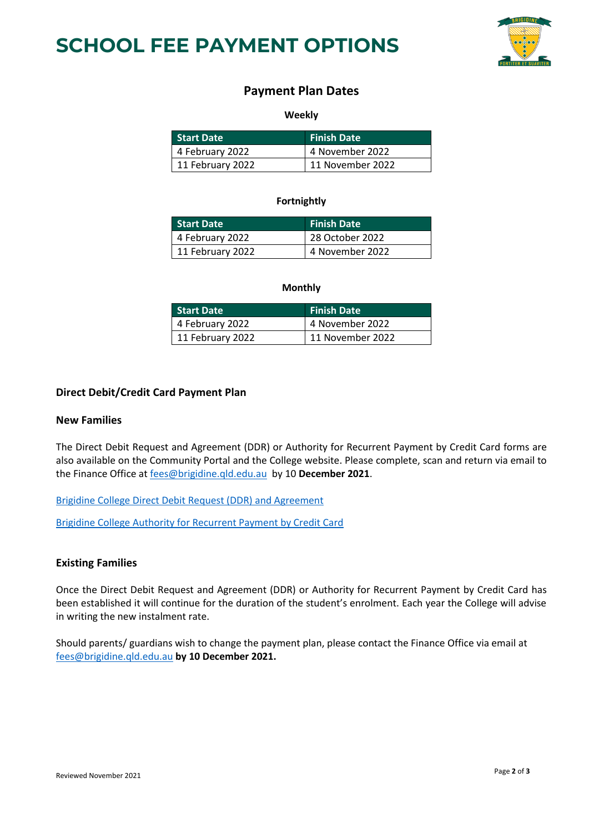



# **Payment Plan Dates**

#### **Weekly**

| <b>Start Date</b>       | <b>Finish Date</b> |
|-------------------------|--------------------|
| $\vert$ 4 February 2022 | 4 November 2022    |
| $11$ February 2022      | 11 November 2022   |

## **Fortnightly**

| <b>Start Date</b> | <b>Finish Date</b> |
|-------------------|--------------------|
| 4 February 2022   | 28 October 2022    |
| 11 February 2022  | 4 November 2022    |

#### **Monthly**

| <b>Start Date</b> | <b>Finish Date</b> |
|-------------------|--------------------|
| 4 February 2022   | 4 November 2022    |
| 11 February 2022  | 11 November 2022   |

#### **Direct Debit/Credit Card Payment Plan**

#### **New Families**

The Direct Debit Request and Agreement (DDR) or Authority for Recurrent Payment by Credit Card forms are also available on the Community Portal and the College website. Please complete, scan and return via email to the Finance Office a[t fees@brigidine.qld.edu.au](mailto:fees@brigidine.qld.edu.au) by 10 **December 2021**.

[Brigidine College Direct Debit Request \(DDR\) and Agreement](https://brigidine.qld.edu.au/wp-content/uploads/2021-Brigidine-DDR-and-Agreement.pdf)

[Brigidine College Authority for Recurrent Payment by Credit Card](https://brigidine.qld.edu.au/wp-content/uploads/ADF-2018-Brigidine-College-CC.pdf)

## **Existing Families**

Once the Direct Debit Request and Agreement (DDR) or Authority for Recurrent Payment by Credit Card has been established it will continue for the duration of the student's enrolment. Each year the College will advise in writing the new instalment rate.

Should parents/ guardians wish to change the payment plan, please contact the Finance Office via email at [fees@brigidine.qld.edu.au](mailto:fees@brigidine.qld.edu.au) **by 10 December 2021.**